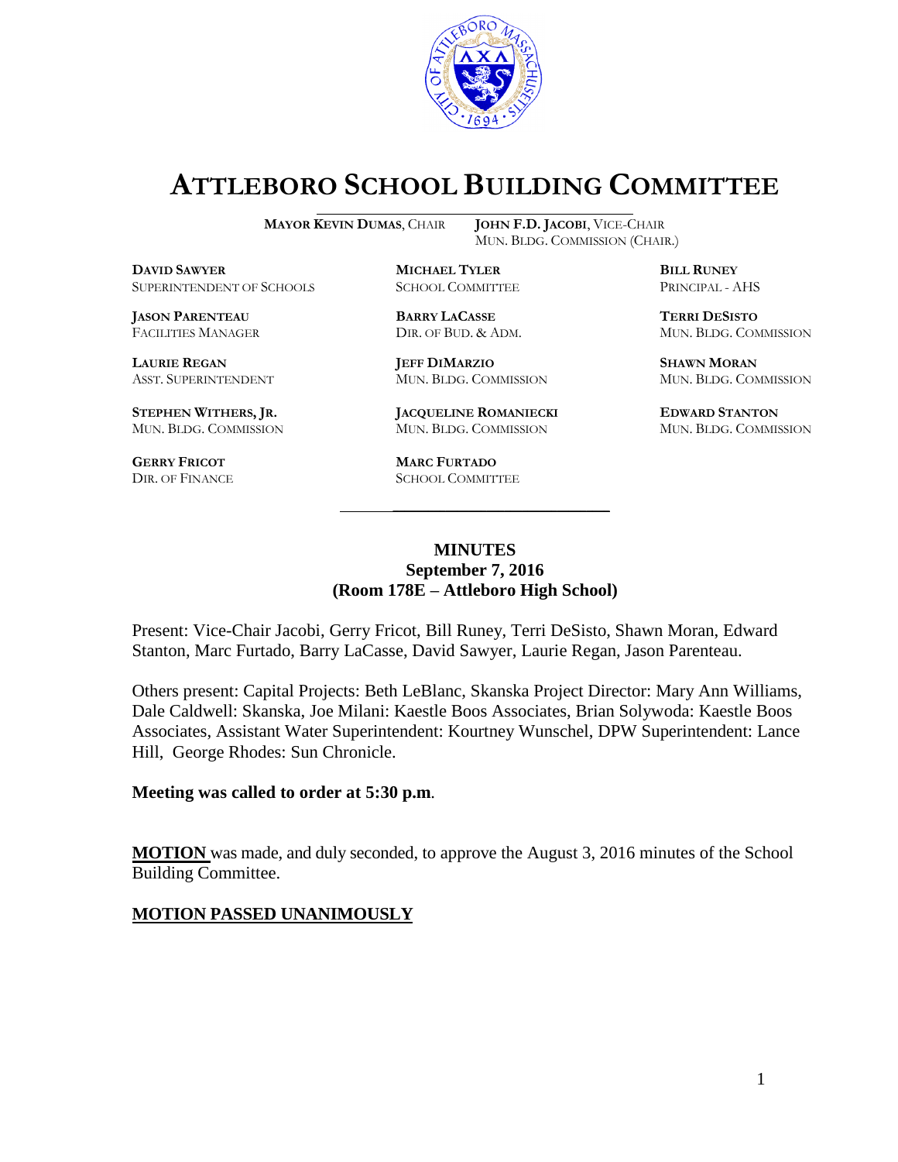

# **ATTLEBORO SCHOOL BUILDING COMMITTEE**

MUN. BLDG. COMMISSION (CHAIR.)

**MAYOR KEVIN DUMAS**, CHAIR **JOHN F.D. JACOBI**, VICE-CHAIR

**DAVID SAWYER MICHAEL TYLER BILL RUNEY** SUPERINTENDENT OF SCHOOLS SCHOOL COMMITTEE PRINCIPAL - AHS

**JASON PARENTEAU BARRY LACASSE TERRI DESISTO**

**STEPHEN WITHERS, JR. JACQUELINE ROMANIECKI EDWARD STANTON**

**GERRY FRICOT MARC FURTADO**

**LAURIE REGAN JEFF DIMARZIO SHAWN MORAN** ASST. SUPERINTENDENT MUN. BLDG. COMMISSION MUN. BLDG. COMMISSION

MUN. BLDG. COMMISSION MUN. BLDG. COMMISSION MUN. BLDG. COMMISSION

SCHOOL COMMITTEE

FACILITIES MANAGER DIR. OF BUD. & ADM. MUN. BLDG. COMMISSION

#### **MINUTES September 7, 2016 (Room 178E – Attleboro High School)**

\_\_\_\_\_\_\_\_\_\_\_\_\_\_\_\_\_\_\_\_\_\_\_\_\_\_\_\_\_\_\_\_\_\_\_\_\_

Present: Vice-Chair Jacobi, Gerry Fricot, Bill Runey, Terri DeSisto, Shawn Moran, Edward Stanton, Marc Furtado, Barry LaCasse, David Sawyer, Laurie Regan, Jason Parenteau.

Others present: Capital Projects: Beth LeBlanc, Skanska Project Director: Mary Ann Williams, Dale Caldwell: Skanska, Joe Milani: Kaestle Boos Associates, Brian Solywoda: Kaestle Boos Associates, Assistant Water Superintendent: Kourtney Wunschel, DPW Superintendent: Lance Hill, George Rhodes: Sun Chronicle.

#### **Meeting was called to order at 5:30 p.m**.

**MOTION** was made, and duly seconded, to approve the August 3, 2016 minutes of the School Building Committee.

#### **MOTION PASSED UNANIMOUSLY**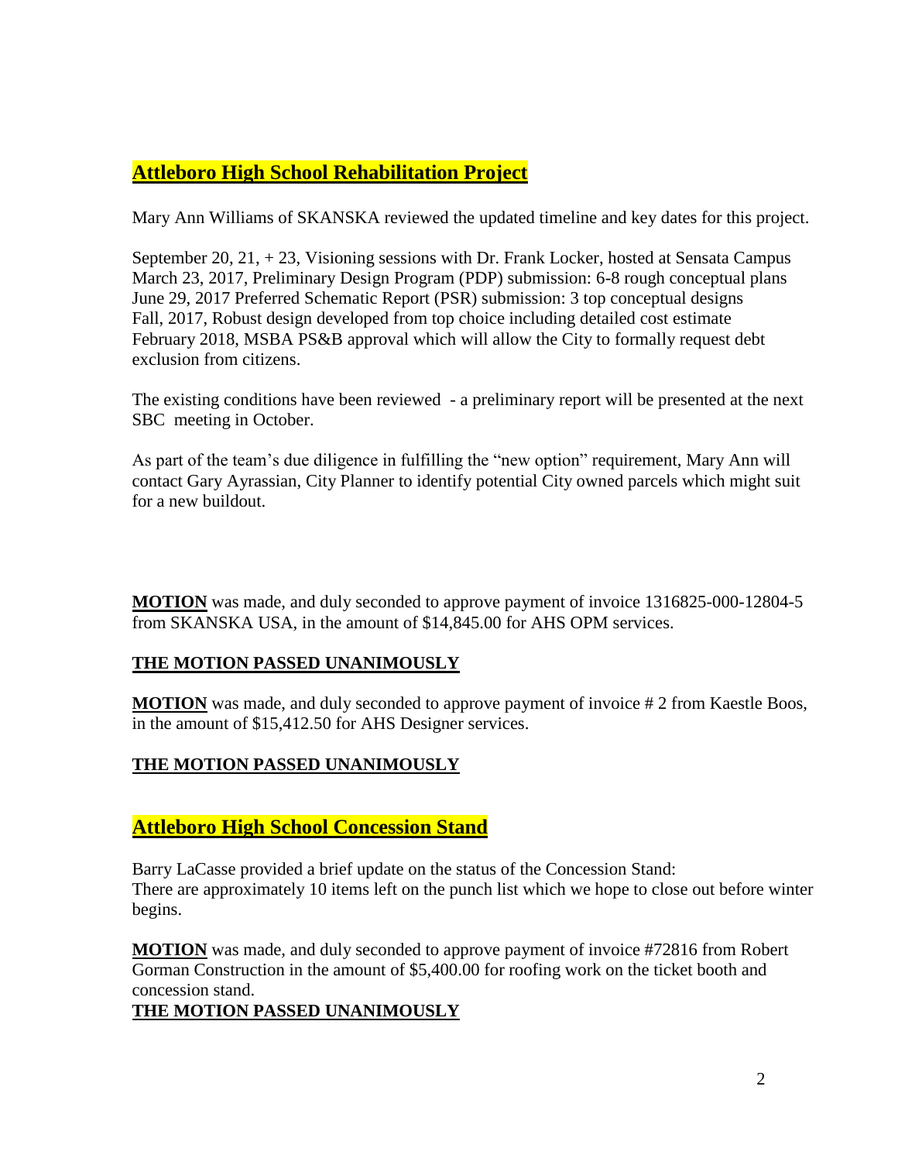# **Attleboro High School Rehabilitation Project**

Mary Ann Williams of SKANSKA reviewed the updated timeline and key dates for this project.

September 20, 21, + 23, Visioning sessions with Dr. Frank Locker, hosted at Sensata Campus March 23, 2017, Preliminary Design Program (PDP) submission: 6-8 rough conceptual plans June 29, 2017 Preferred Schematic Report (PSR) submission: 3 top conceptual designs Fall, 2017, Robust design developed from top choice including detailed cost estimate February 2018, MSBA PS&B approval which will allow the City to formally request debt exclusion from citizens.

The existing conditions have been reviewed - a preliminary report will be presented at the next SBC meeting in October.

As part of the team's due diligence in fulfilling the "new option" requirement, Mary Ann will contact Gary Ayrassian, City Planner to identify potential City owned parcels which might suit for a new buildout.

**MOTION** was made, and duly seconded to approve payment of invoice 1316825-000-12804-5 from SKANSKA USA, in the amount of \$14,845.00 for AHS OPM services.

#### **THE MOTION PASSED UNANIMOUSLY**

**MOTION** was made, and duly seconded to approve payment of invoice #2 from Kaestle Boos, in the amount of \$15,412.50 for AHS Designer services.

#### **THE MOTION PASSED UNANIMOUSLY**

## **Attleboro High School Concession Stand**

Barry LaCasse provided a brief update on the status of the Concession Stand: There are approximately 10 items left on the punch list which we hope to close out before winter begins.

**MOTION** was made, and duly seconded to approve payment of invoice #72816 from Robert Gorman Construction in the amount of \$5,400.00 for roofing work on the ticket booth and concession stand.

#### **THE MOTION PASSED UNANIMOUSLY**